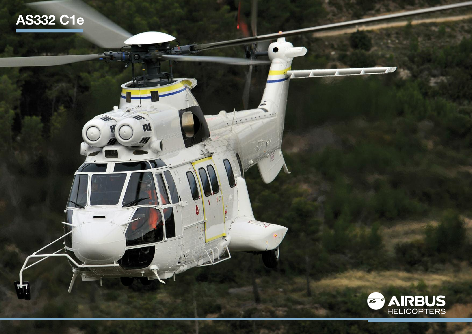